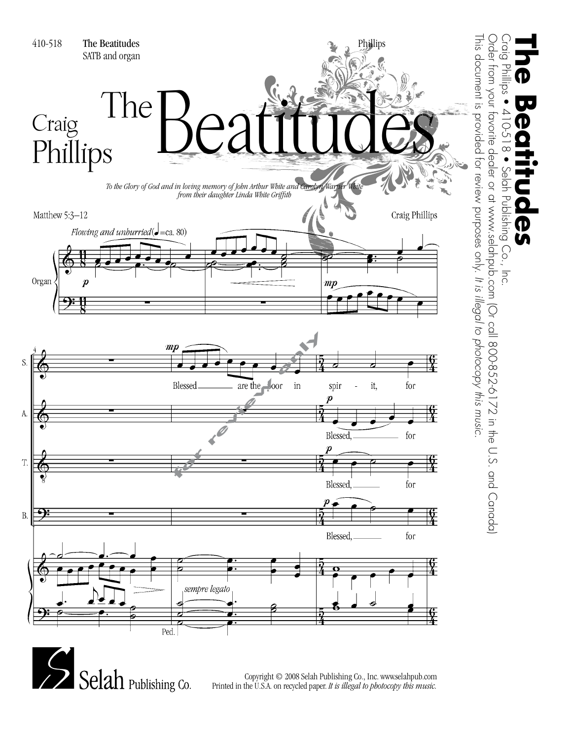

Copyright © 2008 Selah Publishing Co., Inc. www.selahpub.com Printed in the U.S.A. on recycled paper. *It is illegal to photocopy this music.*

**The Beatitudes**

 $\overline{\phantom{a}}$ 

 $\overline{\mathbf{P}}$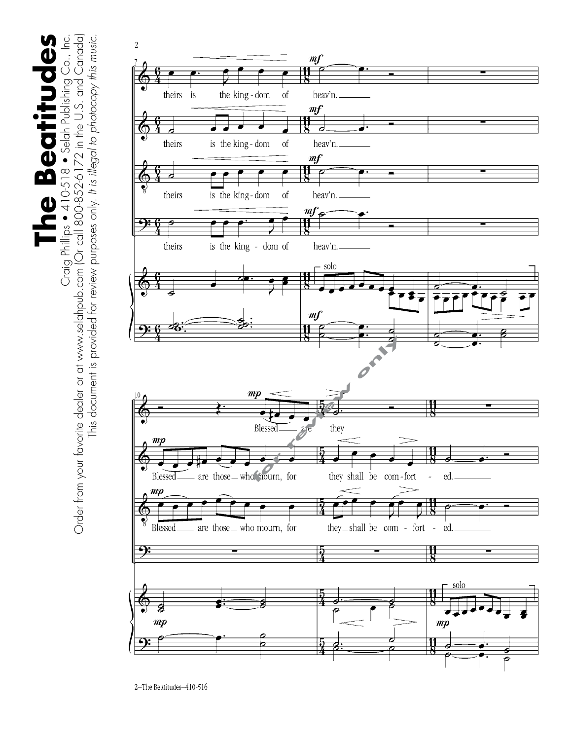Craig Phillips ● 410-518 ● Selah Publishing Co., Inc.<br>Order from your favorite dealer or at www.selahpub.com (Or call 800-852-6172 in the U.S. and Canada) Order from your favorite dealer or at www.selahpub.com (Or call 800-852-6172 in the U.S. and Canada) The Beatitudes **The Beatitudes** Craig Phillips • 410-518 • Selah Publishing Co., Inc. This document is provided for review purposes only. It is illegal to photocopy this music. This document is provided for review purposes only. *It is illegal to photocopy this music.*

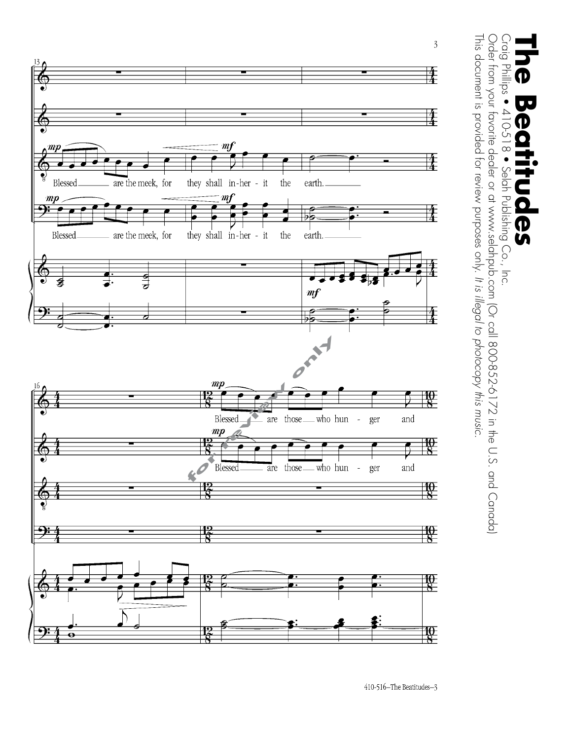

 $\begin{array}{c} 0.01 \\ -0.01 \\ -0.01 \end{array}$ This document is provided for review purposes only. It is illegal to photocopy this music. Order from your favorite dealer or at www.selahpub.com (Or call 800-852-6172 in the U.S. and Canada) This document is provided for review purposes only. Order from your favorite dealer or at www.selahpub.com (Or call 800-852-6172 in the U.S. and Canada) Craig Phillips • 410-518 • Selah Publishing Co., Inc. **The Beatitudes** Philips • 410-518 •  $\overline{\mathbf{U}}$ Ф D Selah Publishing Co., Inc.  $\overline{\mathbf{D}}$ *It is illegal to photocopy this music.*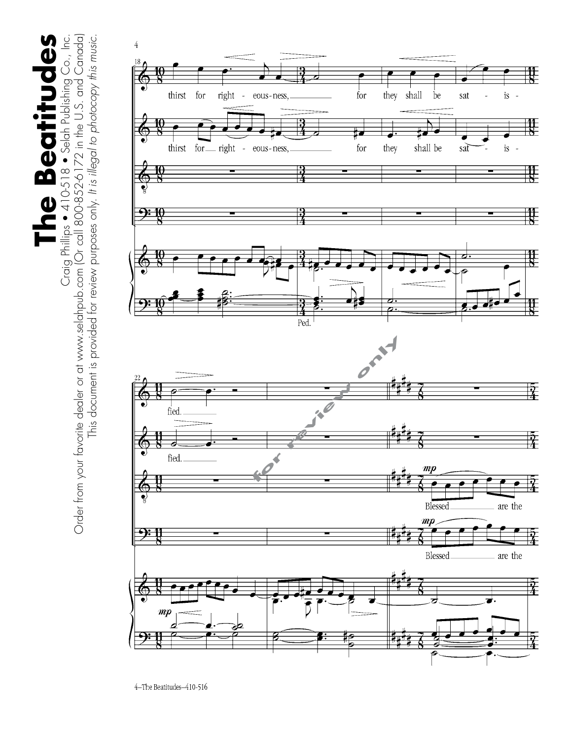The Beatitudes Craig Phillips ● 410-518 ● Selah Publishing Co., Inc.<br>Order from your favorite dealer or at www.selahpub.com (Or call 800-852-6172 in the U.S. and Canada) **The Beatitudes** Craig Phillips • 410-518 • Selah Publishing Co., Inc.



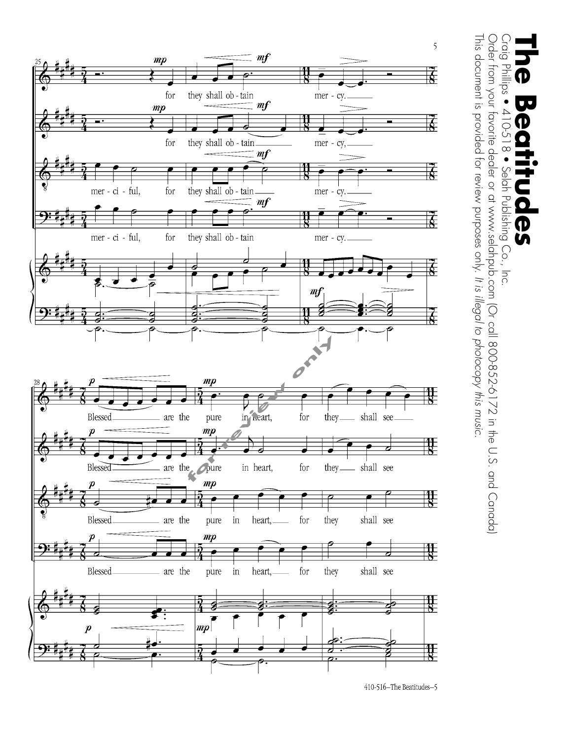

Craig This document is provided for review purposes only. It is illegal to photocopy this music. Order from your favorite dealer or at www.selahpub.com (Or call 800-852-6172 in the U.S. and Canada) This document is provided for review purposes only. Order from your favorite dealer or at www.selahpub.com (Or call 800-852-6172 in the U.S. and Canada) Craig Phillips • 410-518 • Selah Publishing Co., Inc. **The Beatitudes** Phillips ●  $\bullet$  $410-2$ D  $\frac{1}{\infty}$ Selah Publishing Co., Inc. の<br>い *It is illegal to photocopy this music.*

410-516-The Beatitudes-5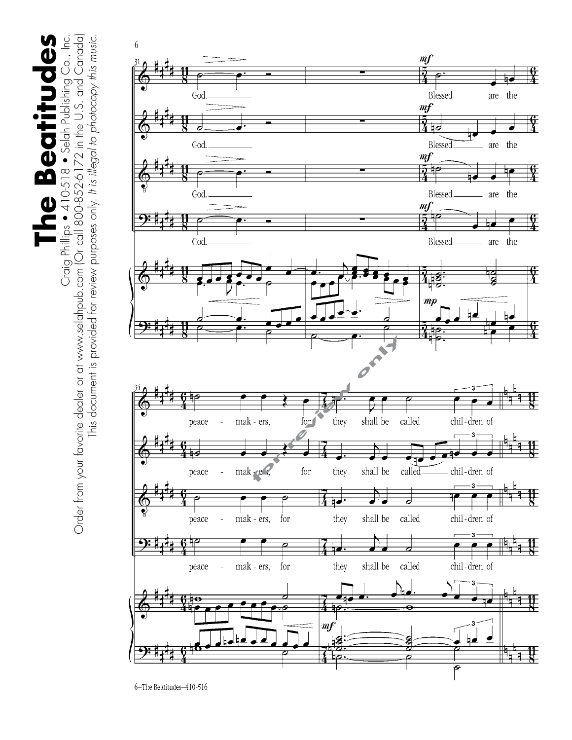Craig Phillips ● 410-518 ● Selah Publishing Co., Inc.<br>Order from your favorite dealer or at www.selahpub.com (Or call 800-852-6172 in the U.S. and Canada) Order from your favorite dealer or at www.selahpub.com (Or call 800-852-6172 in the U.S. and Canada) The Beatitudes **The Beatitudes** Craig Phillips • 410-518 • Selah Publishing Co., Inc. This document is provided for review purposes only. It is illegal to photocopy this music. This document is provided for review purposes only. *It is illegal to photocopy this music.*



6-The Beatitudes-410-516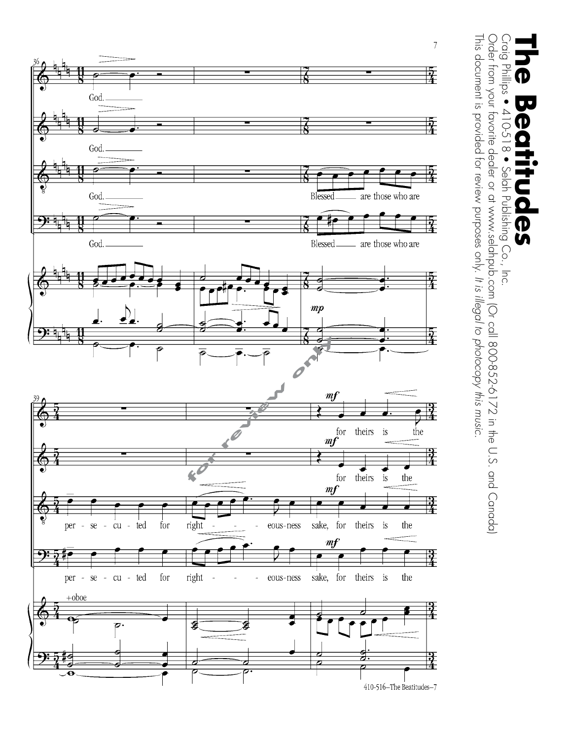

 $\bigcup_{i=1}^{n}$ Order from your favorite dealer or at www.selahpub.com (Or call 800-852-6172 in the U.S. and Canada) This document is provided for review purposes only. It is illegal to photocopy this music. This document is provided for review purposes only. Order from your favorite dealer or at www.selahpub.com (Or call 800-852-6172 in the U.S. and Canada) Craig Phillips • 410-518 • Selah Publishing Co., Inc. **The Beatitudes** Phillips • UU  $410-2$ D  $\bullet$  8 Selah Publishing Co., Inc. က<br>ဟ *It is illegal to photocopy this music.*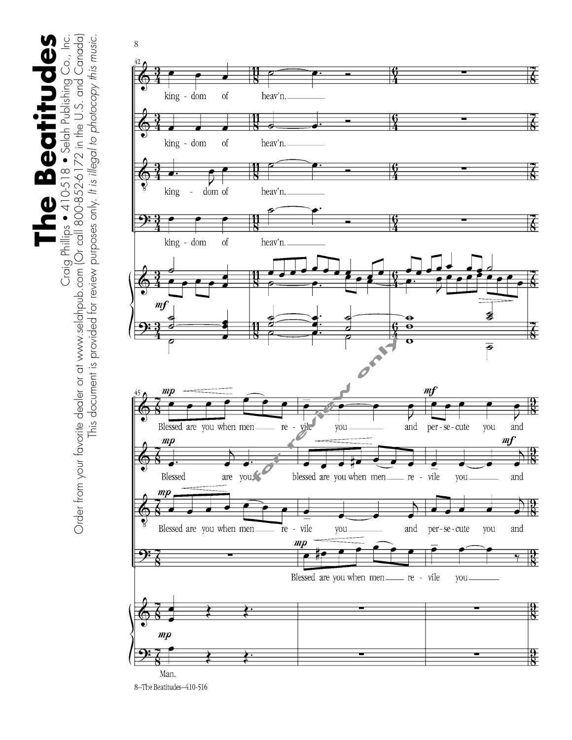Craig Phillips ● 410-518 ● Selah Publishing Co., Inc.<br>Order from your favorite dealer or at www.selahpub.com (Or call 800-852-6172 in the U.S. and Canada) Order from your favorite dealer or at www.selahpub.com (Or call 800-852-6172 in the U.S. and Canada) The Beatitudes **The Beatitudes** Craig Phillips • 410-518 • Selah Publishing Co., Inc. This document is provided for review purposes only. It is illegal to photocopy this music. This document is provided for review purposes only. *It is illegal to photocopy this music.*



8-The Beatitudes-410-516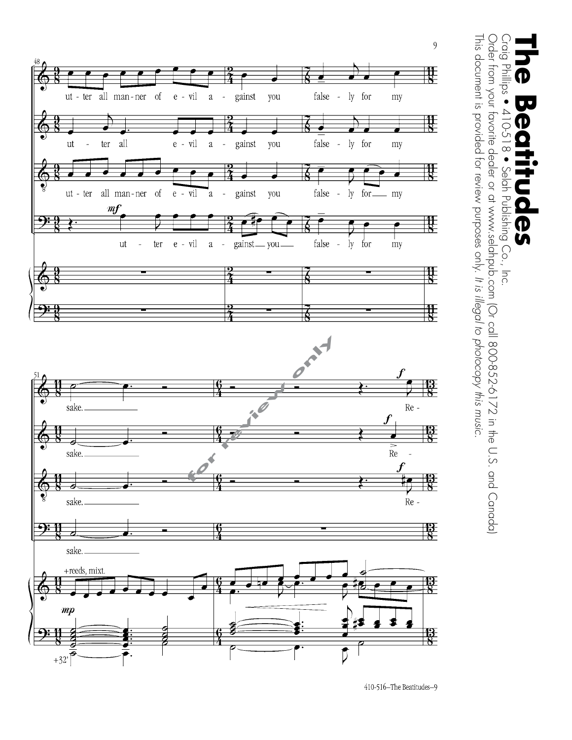

Craig This document is provided for review purposes only. It is illegal to photocopy this music. Order from your favorite dealer or at www.selahpub.com (Or call 800-852-6172 in the U.S. and Canada) This document is provided for review purposes only. Order from your favorite dealer or at www.selahpub.com (Or call 800-852-6172 in the U.S. and Canada) Craig Phillips • 410-518 • Selah Publishing Co., Inc. **The Beatitudes**  $Phillips 910-518.$  $\overline{\mathbf{v}}$ Φ Selah Publishing Co., Inc. **D** *It is illegal to photocopy this music.*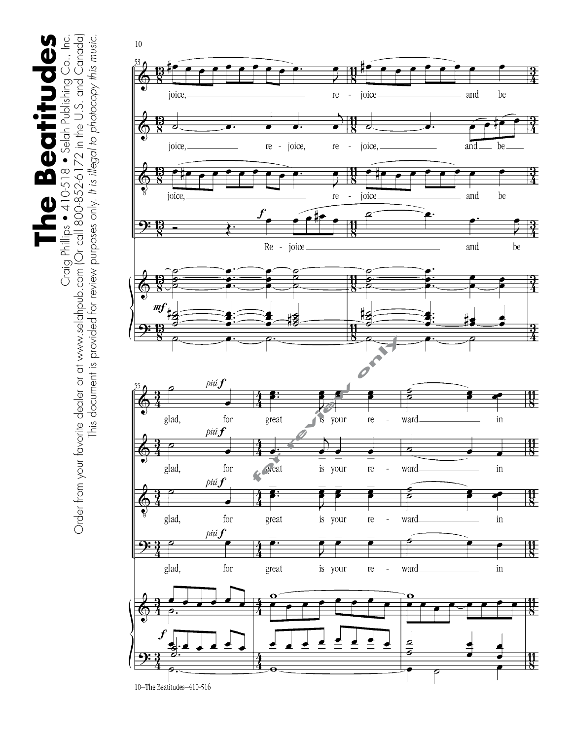The Beatitudes **The Beatitudes**

Craig Phillips ● 410-518 ● Selah Publishing Co., Inc.<br>Order from your favorite dealer or at www.selahpub.com (Or call 800-852-6172 in the U.S. and Canada) Order from your favorite dealer or at www.selahpub.com (Or call 800-852-6172 in the U.S. and Canada) Craig Phillips • 410-518 • Selah Publishing Co., Inc. This document is provided for review purposes only. It is illegal to photocopy this music. This document is provided for review purposes only. *It is illegal to photocopy this music.*



10-The Beatitudes-410-516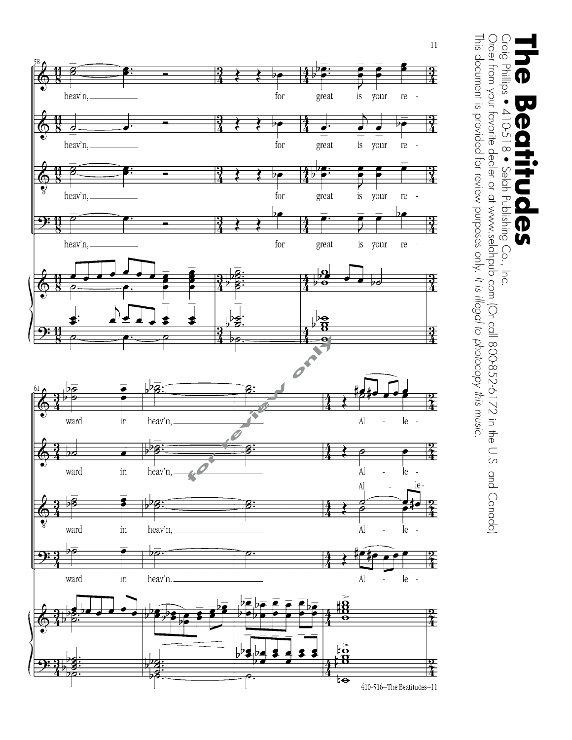

This document is provided for review purposes only. It is illegal to photocopy this music. Craig Phillips • 410-518 • Selah Publishing Co., Inc.<br>Order from your favorite dealer or at www.selahpub.com (Or call 800-852-6172 in the U.S. and Canada)<br>च This document is provided for review purposes only. Order from your favorite dealer or at www.selahpub.com (Or call 800-852-6172 in the U.S. and Canada) Craig Phillips • 410-518 • Selah Publishing Co., Inc. **The Beatitudes**  $\overline{\phantom{a}}$ D **႐ု** *It is illegal to photocopy this music.*